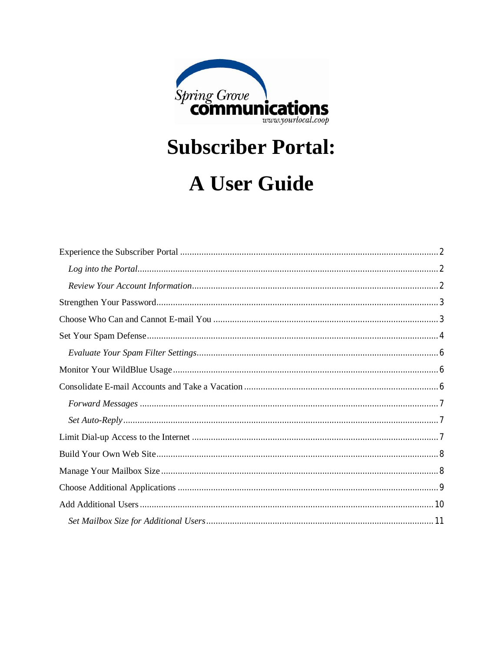

**Subscriber Portal:** 

# **A User Guide**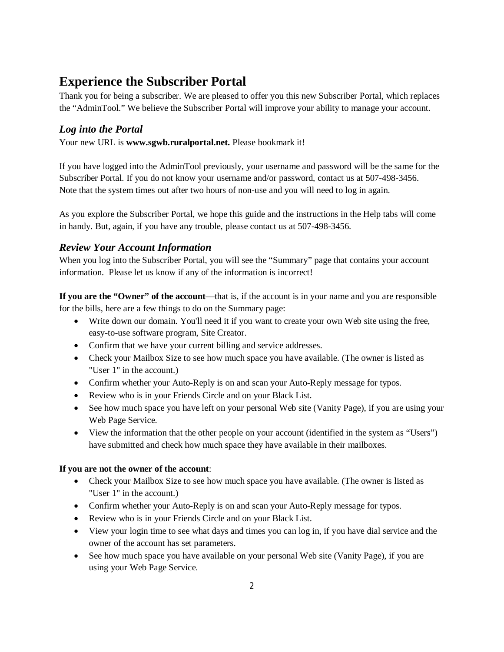## **Experience the Subscriber Portal**

Thank you for being a subscriber. We are pleased to offer you this new Subscriber Portal, which replaces the "AdminTool." We believe the Subscriber Portal will improve your ability to manage your account.

## *Log into the Portal*

Your new URL is **www.sgwb.ruralportal.net.** Please bookmark it!

If you have logged into the AdminTool previously, your username and password will be the same for the Subscriber Portal. If you do not know your username and/or password, contact us at 507-498-3456. Note that the system times out after two hours of non-use and you will need to log in again.

As you explore the Subscriber Portal, we hope this guide and the instructions in the Help tabs will come in handy. But, again, if you have any trouble, please contact us at 507-498-3456.

### *Review Your Account Information*

When you log into the Subscriber Portal, you will see the "Summary" page that contains your account information. Please let us know if any of the information is incorrect!

**If you are the "Owner" of the account—that is, if the account is in your name and you are responsible** for the bills, here are a few things to do on the Summary page:

- Write down our domain. You'll need it if you want to create your own Web site using the free, easy-to-use software program, Site Creator.
- Confirm that we have your current billing and service addresses.
- Check your Mailbox Size to see how much space you have available. (The owner is listed as "User 1" in the account.)
- Confirm whether your Auto-Reply is on and scan your Auto-Reply message for typos.
- Review who is in your Friends Circle and on your Black List.
- See how much space you have left on your personal Web site (Vanity Page), if you are using your Web Page Service.
- View the information that the other people on your account (identified in the system as "Users") have submitted and check how much space they have available in their mailboxes.

#### **If you are not the owner of the account**:

- Check your Mailbox Size to see how much space you have available. (The owner is listed as "User 1" in the account.)
- Confirm whether your Auto-Reply is on and scan your Auto-Reply message for typos.
- Review who is in your Friends Circle and on your Black List.
- View your login time to see what days and times you can log in, if you have dial service and the owner of the account has set parameters.
- See how much space you have available on your personal Web site (Vanity Page), if you are using your Web Page Service.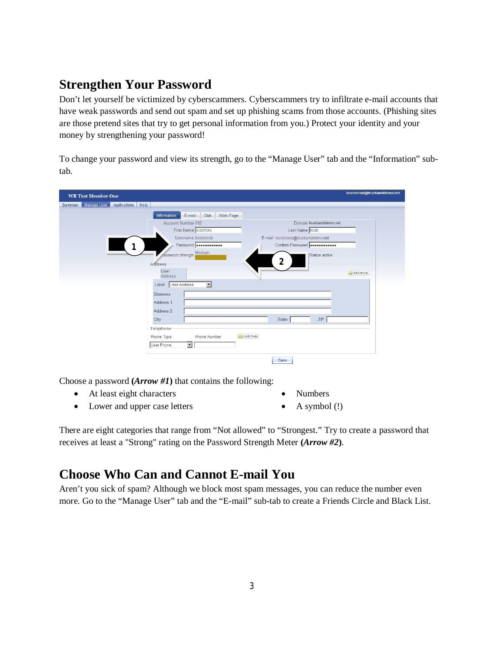# **Strengthen Your Password**

Don't let yourself be victimized by cyberscammers. Cyberscammers try to infiltrate e-mail accounts that have weak passwords and send out spam and set up phishing scams from those accounts. (Phishing sites are those pretend sites that try to get personal information from you.) Protect your identity and your money by strengthening your password!

To change your password and view its strength, go to the "Manage User" tab and the "Information" subtab.

| <b>WB Test Member One</b>                |                                                                     | bostonrob@truebanddemo.net |
|------------------------------------------|---------------------------------------------------------------------|----------------------------|
| Summary Manage User Applications<br>Help |                                                                     |                            |
|                                          | Information<br>E-mail Dial<br>Web Page                              |                            |
|                                          | Account Number 012<br>Domain truebanddemo.net                       |                            |
|                                          | First Name BOSTON<br>Last Name ROB                                  |                            |
|                                          | Username bostonrob<br>E-mail bostonrob@truebanddemo.net             |                            |
| 1                                        | Password <b></b><br>Confirm Password <b>Bondardoness</b>            |                            |
|                                          | Assword Strength Medium<br>Status active<br>$\mathbf{2}$<br>Address |                            |
|                                          | User<br>Address                                                     | Add more                   |
|                                          | $\vert$<br>User Address<br>Label                                    |                            |
|                                          | <b>Business</b>                                                     |                            |
|                                          | Address <sub>1</sub>                                                |                            |
|                                          | Address 2                                                           |                            |
|                                          | ZIP<br>City<br>State                                                |                            |
|                                          | Telephone                                                           |                            |
|                                          | <b>L3</b> Add more<br>Phone Type<br>Phone Number                    |                            |
|                                          | $\vert \cdot \vert$<br>User Phone                                   |                            |
|                                          | Save                                                                |                            |

Choose a password **(***Arrow #1***)** that contains the following:

- At least eight characters
- Lower and upper case letters
- Numbers
- $\bullet$  A symbol (!)

There are eight categories that range from "Not allowed" to "Strongest." Try to create a password that receives at least a "Strong" rating on the Password Strength Meter **(***Arrow #2***)**.

## **Choose Who Can and Cannot E-mail You**

Aren't you sick of spam? Although we block most spam messages, you can reduce the number even more. Go to the "Manage User" tab and the "E-mail" sub-tab to create a Friends Circle and Black List.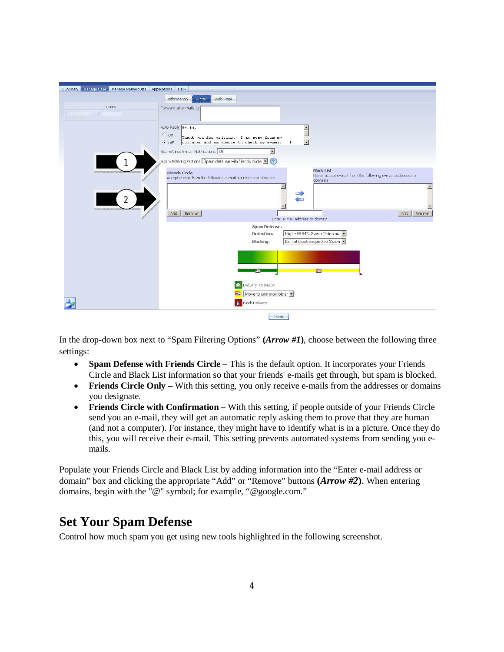| Summary Manage User Manage Mailbox Size Applications Help |                                                                                                                                                                                      |
|-----------------------------------------------------------|--------------------------------------------------------------------------------------------------------------------------------------------------------------------------------------|
|                                                           | Information E-mail<br>Web Page                                                                                                                                                       |
| <b>Users</b>                                              | Forward all e-mails to                                                                                                                                                               |
|                                                           |                                                                                                                                                                                      |
|                                                           | Auto-Reply Hello,<br>$\overline{\phantom{0}}$                                                                                                                                        |
|                                                           | $C_{on}$<br>Thank you for writing. I am away from my<br>$\mathbf{I}$<br>computer and am unable to check my e-mail. I<br>$G$ Off                                                      |
|                                                           | Spam/Virus E-mail Notifications Off<br>$\blacktriangledown$                                                                                                                          |
|                                                           | Spam Filtering Options Spam defense with friends circle $\blacktriangleright$ (?)                                                                                                    |
|                                                           | <b>Black List</b><br><b>Friends Circle</b><br>Never accept e-mail from the following e-mail addresses or<br>Accept e-mail from the following e-mail addresses or domains<br>domains. |
|                                                           | $\triangle$<br><b>Contract</b>                                                                                                                                                       |
| 2                                                         | $\sim$                                                                                                                                                                               |
|                                                           | Add<br>Remove<br>Add<br>Remove<br>Enter e-mail address or domain                                                                                                                     |
|                                                           | Spam Defense:                                                                                                                                                                        |
|                                                           | High - 99.94% Spam Detected v<br>Detection:<br>Do not block suspected Spam v<br>Blocking:                                                                                            |
|                                                           |                                                                                                                                                                                      |
|                                                           |                                                                                                                                                                                      |
|                                                           | $\circledcirc$<br>⋐                                                                                                                                                                  |
|                                                           | Delivery To INBOX<br>☎                                                                                                                                                               |
|                                                           | ☎<br>Move to junk mail folder                                                                                                                                                        |
|                                                           | <b>Block Delivery</b>                                                                                                                                                                |
|                                                           | Save                                                                                                                                                                                 |

In the drop-down box next to "Spam Filtering Options" **(***Arrow #1***)**, choose between the following three settings:

- **Spam Defense with Friends Circle** This is the default option. It incorporates your Friends Circle and Black List information so that your friends' e-mails get through, but spam is blocked.
- Friends Circle Only With this setting, you only receive e-mails from the addresses or domains you designate.
- **Friends Circle with Confirmation** With this setting, if people outside of your Friends Circle send you an e-mail, they will get an automatic reply asking them to prove that they are human (and not a computer). For instance, they might have to identify what is in a picture. Once they do this, you will receive their e-mail. This setting prevents automated systems from sending you emails.

Populate your Friends Circle and Black List by adding information into the "Enter e-mail address or domain" box and clicking the appropriate "Add" or "Remove" buttons **(***Arrow #2***)**. When entering domains, begin with the "@" symbol; for example, "@google.com."

## **Set Your Spam Defense**

Control how much spam you get using new tools highlighted in the following screenshot.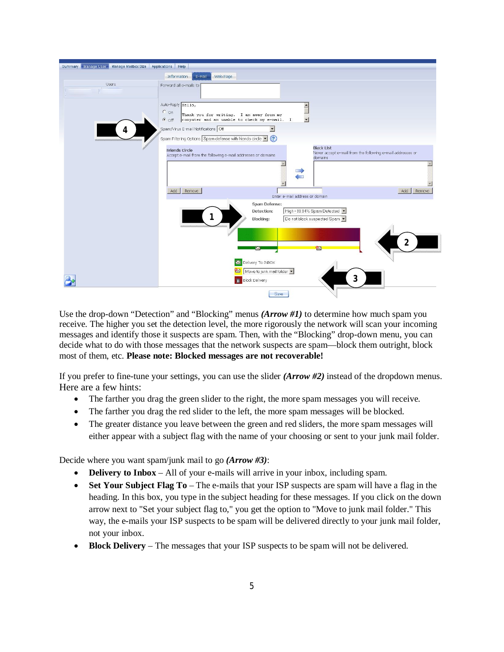

Use the drop-down "Detection" and "Blocking" menus *(Arrow #1)* to determine how much spam you receive. The higher you set the detection level, the more rigorously the network will scan your incoming messages and identify those it suspects are spam. Then, with the "Blocking" drop-down menu, you can decide what to do with those messages that the network suspects are spam—block them outright, block most of them, etc. **Please note: Blocked messages are not recoverable!**

If you prefer to fine-tune your settings, you can use the slider *(Arrow #2)* instead of the dropdown menus. Here are a few hints:

- The farther you drag the green slider to the right, the more spam messages you will receive.
- The farther you drag the red slider to the left, the more spam messages will be blocked.
- The greater distance you leave between the green and red sliders, the more spam messages will either appear with a subject flag with the name of your choosing or sent to your junk mail folder.

Decide where you want spam/junk mail to go *(Arrow #3)*:

- **Delivery to Inbox** All of your e-mails will arrive in your inbox, including spam.
- **Set Your Subject Flag To** The e-mails that your ISP suspects are spam will have a flag in the heading. In this box, you type in the subject heading for these messages. If you click on the down arrow next to "Set your subject flag to," you get the option to "Move to junk mail folder." This way, the e-mails your ISP suspects to be spam will be delivered directly to your junk mail folder, not your inbox.
- **Block Delivery** The messages that your ISP suspects to be spam will not be delivered.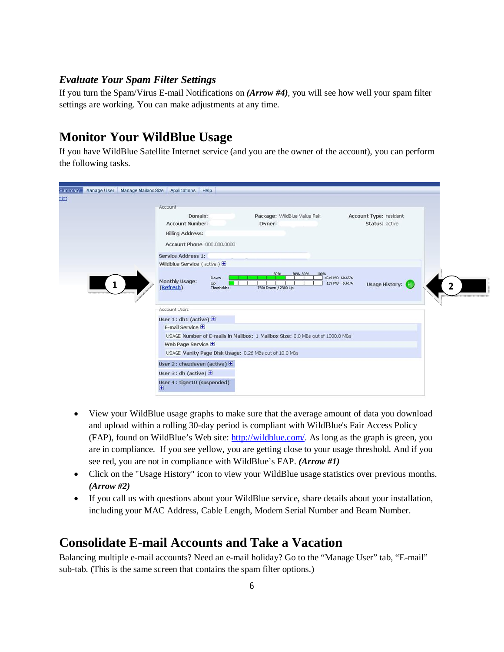#### *Evaluate Your Spam Filter Settings*

If you turn the Spam/Virus E-mail Notifications on *(Arrow #4)*, you will see how well your spam filter settings are working. You can make adjustments at any time.

## **Monitor Your WildBlue Usage**

If you have WildBlue Satellite Internet service (and you are the owner of the account), you can perform the following tasks.

| Account                                                                       |                             |                                                   |  |
|-------------------------------------------------------------------------------|-----------------------------|---------------------------------------------------|--|
| Domain:                                                                       | Package: WildBlue Value Pak | Account Type: resident                            |  |
| <b>Account Number:</b>                                                        | Owner:                      | Status: active                                    |  |
| <b>Billing Address:</b>                                                       |                             |                                                   |  |
| Account Phone 000.000.0000                                                    |                             |                                                   |  |
| Service Address 1:                                                            |                             |                                                   |  |
| Wildblue Service (active) $\bigoplus$                                         |                             |                                                   |  |
| Down<br>Monthly Usage:<br>Up<br>(Refresh)<br>Thresholds:                      | 7500 Down / 2300 Up         | 4549 MB 60.6596<br>Usage History:<br>129 MB 5.61% |  |
| <b>Account Users</b>                                                          |                             |                                                   |  |
|                                                                               |                             |                                                   |  |
| User $1:$ dh1 (active) $\bigoplus$<br>E-mail Service $\bigoplus$              |                             |                                                   |  |
| USAGE Number of E-mails in Mailbox: 1 Mailbox Size: 0.0 MBs out of 1000.0 MBs |                             |                                                   |  |
| Web Page Service <b>+</b>                                                     |                             |                                                   |  |
| USAGE Vanity Page Disk Usage: 0.26 MBs out of 10.0 MBs                        |                             |                                                   |  |
| User 2 : chezdeven (active) $\bigoplus$                                       |                             |                                                   |  |
| User $3:$ dh (active) $\bigoplus$                                             |                             |                                                   |  |

- View your WildBlue usage graphs to make sure that the average amount of data you download and upload within a rolling 30-day period is compliant with WildBlue's Fair Access Policy (FAP), found on WildBlue's Web site: http://wildblue.com/. As long as the graph is green, you are in compliance. If you see yellow, you are getting close to your usage threshold. And if you see red, you are not in compliance with WildBlue's FAP. *(Arrow #1)*
- Click on the "Usage History" icon to view your WildBlue usage statistics over previous months. *(Arrow #2)*
- If you call us with questions about your WildBlue service, share details about your installation, including your MAC Address, Cable Length, Modem Serial Number and Beam Number.

## **Consolidate E-mail Accounts and Take a Vacation**

Balancing multiple e-mail accounts? Need an e-mail holiday? Go to the "Manage User" tab, "E-mail" sub-tab. (This is the same screen that contains the spam filter options.)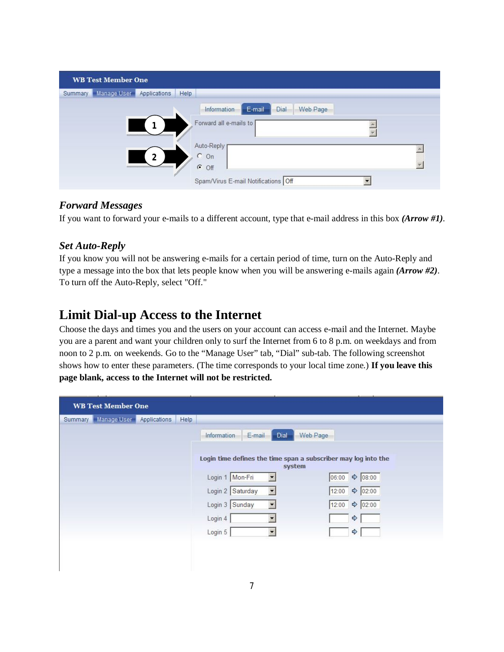|         | <b>WB Test Member One</b>    |              |                                                                                                                                                         |
|---------|------------------------------|--------------|---------------------------------------------------------------------------------------------------------------------------------------------------------|
| Summary | Manage User                  | Applications | Help                                                                                                                                                    |
|         | <u> Serencen en en en en</u> | າ            | Dial<br>E-mail<br>Web Page<br>Information<br>Forward all e-mails to<br>Auto-Reply<br>$C$ On<br>$\epsilon$<br>Off<br>Spam/Virus E-mail Notifications Off |

### *Forward Messages*

If you want to forward your e-mails to a different account, type that e-mail address in this box *(Arrow #1)*.

### *Set Auto-Reply*

If you know you will not be answering e-mails for a certain period of time, turn on the Auto-Reply and type a message into the box that lets people know when you will be answering e-mails again *(Arrow #2)*. To turn off the Auto-Reply, select "Off."

# **Limit Dial-up Access to the Internet**

Choose the days and times you and the users on your account can access e-mail and the Internet. Maybe you are a parent and want your children only to surf the Internet from 6 to 8 p.m. on weekdays and from noon to 2 p.m. on weekends. Go to the "Manage User" tab, "Dial" sub-tab. The following screenshot shows how to enter these parameters. (The time corresponds to your local time zone.) **If you leave this page blank, access to the Internet will not be restricted.**

| <b>WB Test Member One</b>                      |                                                                          |                              |
|------------------------------------------------|--------------------------------------------------------------------------|------------------------------|
| Manage User<br>Applications<br>Help<br>Summary |                                                                          |                              |
|                                                | Dial<br>Information<br>E-mail                                            | Web Page                     |
|                                                | Login time defines the time span a subscriber may log into the<br>system |                              |
|                                                | Login 1 Mon-Fri<br>$\blacksquare$                                        | 06:00 \$ 08:00               |
|                                                | Login 2 Saturday<br>$\vert \cdot \vert$                                  | $\frac{1}{2}$ 02:00<br>12:00 |
|                                                | Login 3 Sunday<br>$\blacktriangledown$                                   | $\frac{1}{2}$ 02:00<br>12:00 |
|                                                | Login 4<br>$\blacksquare$                                                | $\Rightarrow$                |
|                                                | Login 5<br>$\blacktriangledown$                                          | $\Rightarrow$                |
|                                                |                                                                          |                              |
|                                                |                                                                          |                              |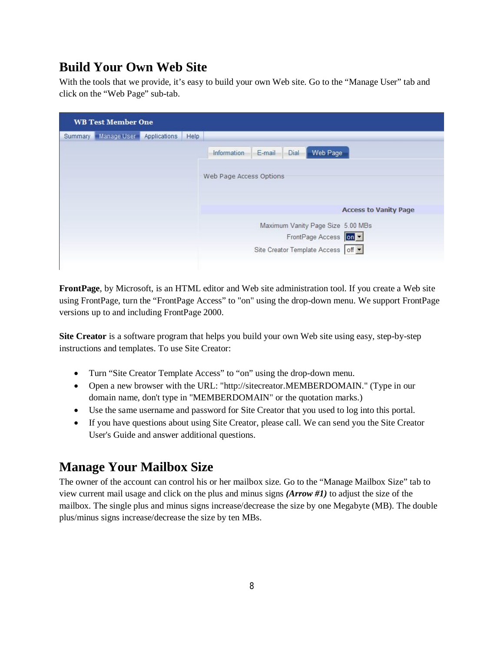# **Build Your Own Web Site**

With the tools that we provide, it's easy to build your own Web site. Go to the "Manage User" tab and click on the "Web Page" sub-tab.

| Summary   Manage User<br>Applications<br>Help<br>Web Page<br>Dial<br>E-mail<br>Information<br>Web Page Access Options<br><b>Access to Vanity Page</b><br>Maximum Vanity Page Size 5.00 MBs<br>FrontPage Access On -<br>Site Creator Template Access off - | <b>WB Test Member One</b> |  |  |
|-----------------------------------------------------------------------------------------------------------------------------------------------------------------------------------------------------------------------------------------------------------|---------------------------|--|--|
|                                                                                                                                                                                                                                                           |                           |  |  |
|                                                                                                                                                                                                                                                           |                           |  |  |
|                                                                                                                                                                                                                                                           |                           |  |  |
|                                                                                                                                                                                                                                                           |                           |  |  |
|                                                                                                                                                                                                                                                           |                           |  |  |
|                                                                                                                                                                                                                                                           |                           |  |  |
|                                                                                                                                                                                                                                                           |                           |  |  |

**FrontPage**, by Microsoft, is an HTML editor and Web site administration tool. If you create a Web site using FrontPage, turn the "FrontPage Access" to "on" using the drop-down menu. We support FrontPage versions up to and including FrontPage 2000.

**Site Creator** is a software program that helps you build your own Web site using easy, step-by-step instructions and templates. To use Site Creator:

- Turn "Site Creator Template Access" to "on" using the drop-down menu.
- Open a new browser with the URL: "http://sitecreator.MEMBERDOMAIN." (Type in our domain name, don't type in "MEMBERDOMAIN" or the quotation marks.)
- Use the same username and password for Site Creator that you used to log into this portal.
- If you have questions about using Site Creator, please call. We can send you the Site Creator User's Guide and answer additional questions.

## **Manage Your Mailbox Size**

The owner of the account can control his or her mailbox size. Go to the "Manage Mailbox Size" tab to view current mail usage and click on the plus and minus signs *(Arrow #1)* to adjust the size of the mailbox. The single plus and minus signs increase/decrease the size by one Megabyte (MB). The double plus/minus signs increase/decrease the size by ten MBs.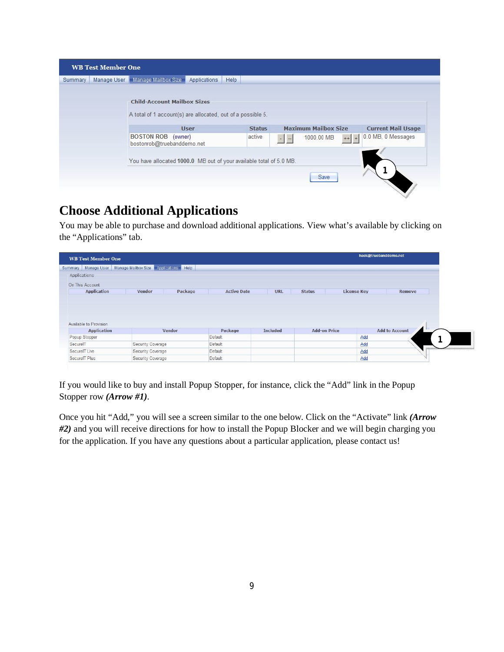|         | <b>WB Test Member One</b> |                                                                                                   |              |      |               |     |                             |        |                           |
|---------|---------------------------|---------------------------------------------------------------------------------------------------|--------------|------|---------------|-----|-----------------------------|--------|---------------------------|
| Summary |                           | Manage User Manage Mailbox Size                                                                   | Applications | Help |               |     |                             |        |                           |
|         |                           | <b>Child-Account Mailbox Sizes</b><br>A total of 1 account(s) are allocated, out of a possible 5. |              |      |               |     |                             |        |                           |
|         |                           |                                                                                                   | <b>User</b>  |      | <b>Status</b> |     | <b>Maximum Mailbox Size</b> |        | <b>Current Mail Usage</b> |
|         |                           | <b>BOSTON ROB</b> (owner)<br>bostonrob@truebanddemo.net                                           |              |      | active        | $-$ | 1000.00 MB                  | $++ +$ | 0.0 MB, 0 Messages        |
|         |                           | You have allocated 1000.0 MB out of your available total of 5.0 MB.                               |              |      |               |     | Save                        |        |                           |

# **Choose Additional Applications**

You may be able to purchase and download additional applications. View what's available by clicking on the "Applications" tab.

| <b>WB Test Member One</b>                    |                                                         |         |                    |                 |                     |                    | hack@truebanddemo.net |               |
|----------------------------------------------|---------------------------------------------------------|---------|--------------------|-----------------|---------------------|--------------------|-----------------------|---------------|
| <b>Summary</b>                               | Manage User   Manage Mailbox Size   Applications   Help |         |                    |                 |                     |                    |                       |               |
| Applications                                 |                                                         |         |                    |                 |                     |                    |                       |               |
| On This Account                              |                                                         |         |                    |                 |                     |                    |                       |               |
| <b>Application</b>                           | Vendor                                                  | Package | <b>Active Date</b> | <b>URL</b>      | <b>Status</b>       | <b>License Key</b> |                       | <b>Remove</b> |
|                                              |                                                         |         |                    |                 |                     |                    |                       |               |
| Available to Provision<br><b>Application</b> | Vendor                                                  |         | Package            | <b>Included</b> | <b>Add-on Price</b> |                    | <b>Add to Account</b> |               |
| Popup Stopper                                |                                                         |         | Default            |                 |                     | Add                |                       |               |
| SecurelT                                     | Security Coverage                                       |         | Default            |                 |                     | Add                |                       |               |
| SecureIT Live                                | Security Coverage                                       |         | Default            |                 |                     | Add                |                       |               |

If you would like to buy and install Popup Stopper, for instance, click the "Add" link in the Popup Stopper row *(Arrow #1)*.

Once you hit "Add," you will see a screen similar to the one below. Click on the "Activate" link *(Arrow #2)* and you will receive directions for how to install the Popup Blocker and we will begin charging you for the application. If you have any questions about a particular application, please contact us!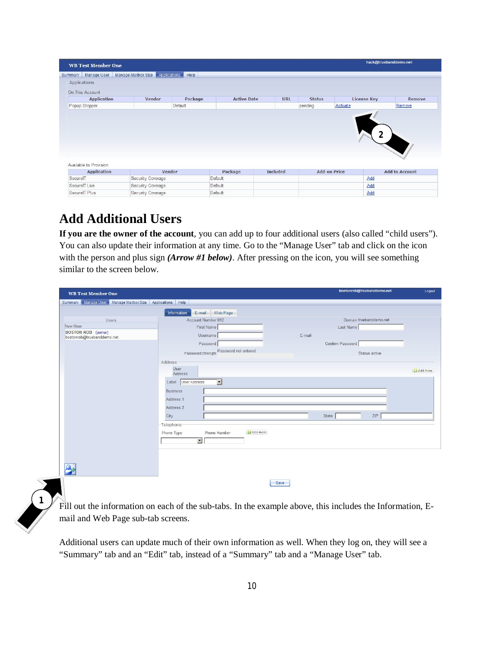| <b>WB Test Member One</b>                           |                                  |         |                    |                 |                     |                    | hack@truebanddemo.net |
|-----------------------------------------------------|----------------------------------|---------|--------------------|-----------------|---------------------|--------------------|-----------------------|
| Manage User<br>Summary                              | Manage Mailbox Size Applications | Help    |                    |                 |                     |                    |                       |
| Applications                                        |                                  |         |                    |                 |                     |                    |                       |
| On This Account                                     |                                  |         |                    |                 |                     |                    |                       |
| <b>Application</b>                                  | Vendor                           | Package | <b>Active Date</b> | <b>URL</b>      | <b>Status</b>       | <b>License Key</b> | <b>Remove</b>         |
| Popup Stopper                                       |                                  | Default |                    |                 | pending             | Activate           | Remove                |
|                                                     |                                  |         |                    |                 |                     |                    |                       |
|                                                     |                                  |         |                    |                 |                     |                    |                       |
| <b>Application</b>                                  | Vendor                           |         | Package            | <b>Included</b> | <b>Add-on Price</b> |                    | <b>Add to Account</b> |
|                                                     | Security Coverage                |         | Default            |                 |                     | Add                |                       |
| Available to Provision<br>SecurelT<br>SecurelT Live | Security Coverage                |         | Default            |                 |                     | Add                |                       |

# **Add Additional Users**

 $\left($  1

**If you are the owner of the account**, you can add up to four additional users (also called "child users"). You can also update their information at any time. Go to the "Manage User" tab and click on the icon with the person and plus sign *(Arrow #1 below)*. After pressing on the icon, you will see something similar to the screen below.

| Summary Manage User Manage Mailbox Size Applications Help<br>Information<br>E-mail Web Page<br>Account Number 012<br>Domain truebanddemo.net<br><b>Users</b><br>New User<br>First Name<br>Last Name<br>BOSTON ROB (owner)<br>bostonrob@truebanddemo.net<br>E-mail<br>Username<br>Password<br>Confirm Password<br>Password Strength Password not entered<br>Status active<br>Address<br>User<br>Add more<br>Address<br>$\overline{z}$<br>User Address<br>Label<br><b>Business</b><br>Address 1<br>Address 2<br>State<br>ZIP<br>City<br>Telephone<br><b>L3</b> Add more<br>Phone Number<br>Phone Type<br>$\overline{\phantom{a}}$ | <b>WB Test Member One</b> | bostonrob@truebanddemo.net | Logout |
|---------------------------------------------------------------------------------------------------------------------------------------------------------------------------------------------------------------------------------------------------------------------------------------------------------------------------------------------------------------------------------------------------------------------------------------------------------------------------------------------------------------------------------------------------------------------------------------------------------------------------------|---------------------------|----------------------------|--------|
|                                                                                                                                                                                                                                                                                                                                                                                                                                                                                                                                                                                                                                 |                           |                            |        |
|                                                                                                                                                                                                                                                                                                                                                                                                                                                                                                                                                                                                                                 |                           |                            |        |
|                                                                                                                                                                                                                                                                                                                                                                                                                                                                                                                                                                                                                                 |                           |                            |        |
|                                                                                                                                                                                                                                                                                                                                                                                                                                                                                                                                                                                                                                 |                           |                            |        |
|                                                                                                                                                                                                                                                                                                                                                                                                                                                                                                                                                                                                                                 |                           |                            |        |
|                                                                                                                                                                                                                                                                                                                                                                                                                                                                                                                                                                                                                                 |                           |                            |        |
|                                                                                                                                                                                                                                                                                                                                                                                                                                                                                                                                                                                                                                 |                           |                            |        |
|                                                                                                                                                                                                                                                                                                                                                                                                                                                                                                                                                                                                                                 |                           |                            |        |
|                                                                                                                                                                                                                                                                                                                                                                                                                                                                                                                                                                                                                                 |                           |                            |        |
|                                                                                                                                                                                                                                                                                                                                                                                                                                                                                                                                                                                                                                 |                           |                            |        |
|                                                                                                                                                                                                                                                                                                                                                                                                                                                                                                                                                                                                                                 |                           |                            |        |
|                                                                                                                                                                                                                                                                                                                                                                                                                                                                                                                                                                                                                                 |                           |                            |        |
|                                                                                                                                                                                                                                                                                                                                                                                                                                                                                                                                                                                                                                 |                           |                            |        |
|                                                                                                                                                                                                                                                                                                                                                                                                                                                                                                                                                                                                                                 |                           |                            |        |
|                                                                                                                                                                                                                                                                                                                                                                                                                                                                                                                                                                                                                                 |                           |                            |        |
|                                                                                                                                                                                                                                                                                                                                                                                                                                                                                                                                                                                                                                 |                           |                            |        |
|                                                                                                                                                                                                                                                                                                                                                                                                                                                                                                                                                                                                                                 |                           |                            |        |
|                                                                                                                                                                                                                                                                                                                                                                                                                                                                                                                                                                                                                                 |                           |                            |        |
|                                                                                                                                                                                                                                                                                                                                                                                                                                                                                                                                                                                                                                 |                           |                            |        |
|                                                                                                                                                                                                                                                                                                                                                                                                                                                                                                                                                                                                                                 |                           |                            |        |
|                                                                                                                                                                                                                                                                                                                                                                                                                                                                                                                                                                                                                                 |                           |                            |        |
| Save                                                                                                                                                                                                                                                                                                                                                                                                                                                                                                                                                                                                                            |                           |                            |        |
|                                                                                                                                                                                                                                                                                                                                                                                                                                                                                                                                                                                                                                 |                           |                            |        |

Fill out the information on each of the sub-tabs. In the example above, this includes the Information, Email and Web Page sub-tab screens.

Additional users can update much of their own information as well. When they log on, they will see a "Summary" tab and an "Edit" tab, instead of a "Summary" tab and a "Manage User" tab.